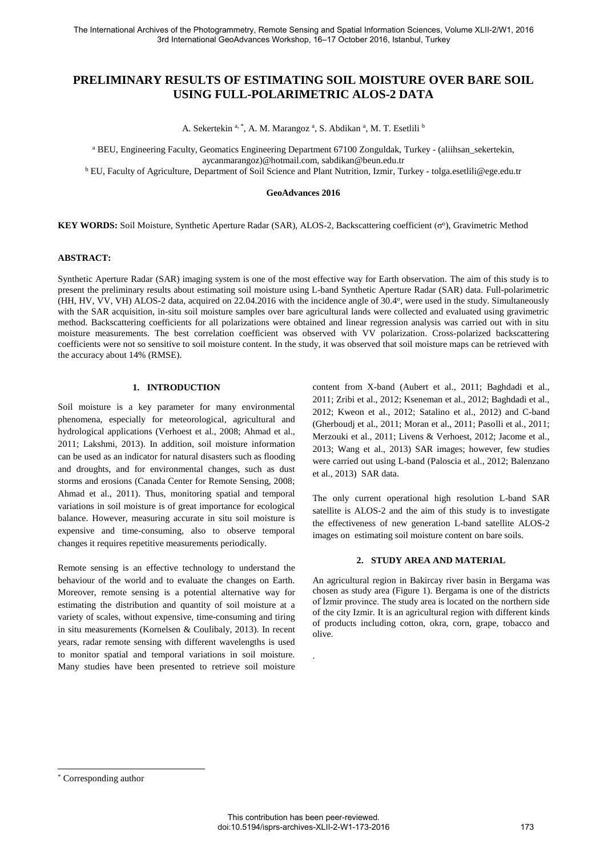# **PRELIMINARY RESULTS OF ESTIMATING SOIL MOISTURE OVER BARE SOIL USING FULL-POLARIMETRIC ALOS-2 DATA**

A. Sekertekin <sup>a, \*</sup>, A. M. Marangoz <sup>a</sup>, S. Abdikan <sup>a</sup>, M. T. Esetlili <sup>b</sup>

<sup>a</sup> BEU, Engineering Faculty, Geomatics Engineering Department 67100 Zonguldak, Turkey - (aliihsan\_sekertekin, aycanmarangoz)@hotmail.com, sabdikan@beun.edu.tr

b EU, Faculty of Agriculture, Department of Soil Science and Plant Nutrition, Izmir, Turkey - tolga.esetlili@ege.edu.tr

#### **GeoAdvances 2016**

KEY WORDS: Soil Moisture, Synthetic Aperture Radar (SAR), ALOS-2, Backscattering coefficient (σ<sup>o</sup>), Gravimetric Method

## **ABSTRACT:**

Synthetic Aperture Radar (SAR) imaging system is one of the most effective way for Earth observation. The aim of this study is to present the preliminary results about estimating soil moisture using L-band Synthetic Aperture Radar (SAR) data. Full-polarimetric (HH, HV, VV, VH) ALOS-2 data, acquired on 22.04.2016 with the incidence angle of 30.4<sup>o</sup> , were used in the study. Simultaneously with the SAR acquisition, in-situ soil moisture samples over bare agricultural lands were collected and evaluated using gravimetric method. Backscattering coefficients for all polarizations were obtained and linear regression analysis was carried out with in situ moisture measurements. The best correlation coefficient was observed with VV polarization. Cross-polarized backscattering coefficients were not so sensitive to soil moisture content. In the study, it was observed that soil moisture maps can be retrieved with the accuracy about 14% (RMSE).

## **1. INTRODUCTION**

Soil moisture is a key parameter for many environmental phenomena, especially for meteorological, agricultural and hydrological applications (Verhoest et al., 2008; Ahmad et al., 2011; Lakshmi, 2013). In addition, soil moisture information can be used as an indicator for natural disasters such as flooding and droughts, and for environmental changes, such as dust storms and erosions (Canada Center for Remote Sensing, 2008; Ahmad et al., 2011). Thus, monitoring spatial and temporal variations in soil moisture is of great importance for ecological balance. However, measuring accurate in situ soil moisture is expensive and time-consuming, also to observe temporal changes it requires repetitive measurements periodically.

Remote sensing is an effective technology to understand the behaviour of the world and to evaluate the changes on Earth. Moreover, remote sensing is a potential alternative way for estimating the distribution and quantity of soil moisture at a variety of scales, without expensive, time-consuming and tiring in situ measurements (Kornelsen & Coulibaly, 2013). In recent years, radar remote sensing with different wavelengths is used to monitor spatial and temporal variations in soil moisture. Many studies have been presented to retrieve soil moisture

content from X-band (Aubert et al., 2011; Baghdadi et al., 2011; Zribi et al., 2012; Kseneman et al., 2012; Baghdadi et al., 2012; Kweon et al., 2012; Satalino et al., 2012) and C-band (Gherboudj et al., 2011; Moran et al., 2011; Pasolli et al., 2011; Merzouki et al., 2011; Livens & Verhoest, 2012; Jacome et al., 2013; Wang et al., 2013) SAR images; however, few studies were carried out using L-band (Paloscia et al., 2012; Balenzano et al., 2013) SAR data.

The only current operational high resolution L-band SAR satellite is ALOS-2 and the aim of this study is to investigate the effectiveness of new generation L-band satellite ALOS-2 images on estimating soil moisture content on bare soils.

## **2. STUDY AREA AND MATERIAL**

An agricultural region in Bakircay river basin in Bergama was chosen as study area (Figure 1). Bergama is one of the districts of İzmir province. The study area is located on the northern side of the city Izmir. It is an agricultural region with different kinds of products including cotton, okra, corn, grape, tobacco and olive.

 $\overline{a}$ 

.

<sup>\*</sup> Corresponding author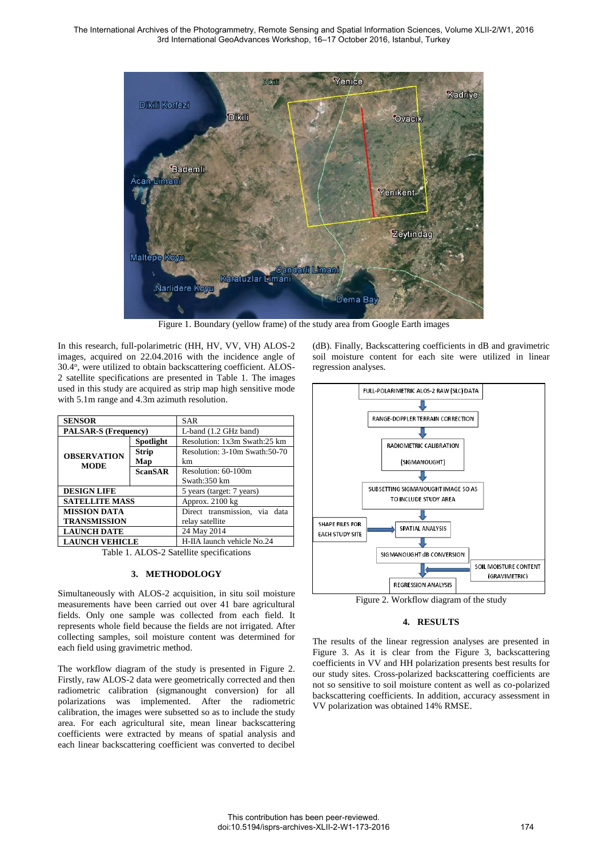

Figure 1. Boundary (yellow frame) of the study area from Google Earth images

In this research, full-polarimetric (HH, HV, VV, VH) ALOS-2 images, acquired on 22.04.2016 with the incidence angle of 30.4°, were utilized to obtain backscattering coefficient. ALOS-2 satellite specifications are presented in Table 1. The images used in this study are acquired as strip map high sensitive mode with 5.1m range and 4.3m azimuth resolution.

| <b>SENSOR</b>                     |                | <b>SAR</b>                     |
|-----------------------------------|----------------|--------------------------------|
| <b>PALSAR-S (Frequency)</b>       |                | L-band (1.2 GHz band)          |
| <b>OBSERVATION</b><br><b>MODE</b> | Spotlight      | Resolution: 1x3m Swath:25 km   |
|                                   | <b>Strip</b>   | Resolution: 3-10m Swath: 50-70 |
|                                   | Map            | km                             |
|                                   | <b>ScanSAR</b> | Resolution: 60-100m            |
|                                   |                | Swath:350 km                   |
| <b>DESIGN LIFE</b>                |                | 5 years (target: 7 years)      |
| <b>SATELLITE MASS</b>             |                | Approx. 2100 kg                |
| <b>MISSION DATA</b>               |                | Direct transmission, via data  |
| <b>TRANSMISSION</b>               |                | relay satellite                |
| <b>LAUNCH DATE</b>                |                | 24 May 2014                    |
| <b>LAUNCH VEHICLE</b>             |                | H-IIA launch vehicle No.24     |

Table 1. ALOS-2 Satellite specifications

## **3. METHODOLOGY**

Simultaneously with ALOS-2 acquisition, in situ soil moisture measurements have been carried out over 41 bare agricultural fields. Only one sample was collected from each field. It represents whole field because the fields are not irrigated. After collecting samples, soil moisture content was determined for each field using gravimetric method.

The workflow diagram of the study is presented in Figure 2. Firstly, raw ALOS-2 data were geometrically corrected and then radiometric calibration (sigmanought conversion) for all polarizations was implemented. After the radiometric calibration, the images were subsetted so as to include the study area. For each agricultural site, mean linear backscattering coefficients were extracted by means of spatial analysis and each linear backscattering coefficient was converted to decibel

(dB). Finally, Backscattering coefficients in dB and gravimetric soil moisture content for each site were utilized in linear regression analyses.



Figure 2. Workflow diagram of the study

## **4. RESULTS**

The results of the linear regression analyses are presented in Figure 3. As it is clear from the Figure 3, backscattering coefficients in VV and HH polarization presents best results for our study sites. Cross-polarized backscattering coefficients are not so sensitive to soil moisture content as well as co-polarized backscattering coefficients. In addition, accuracy assessment in VV polarization was obtained 14% RMSE.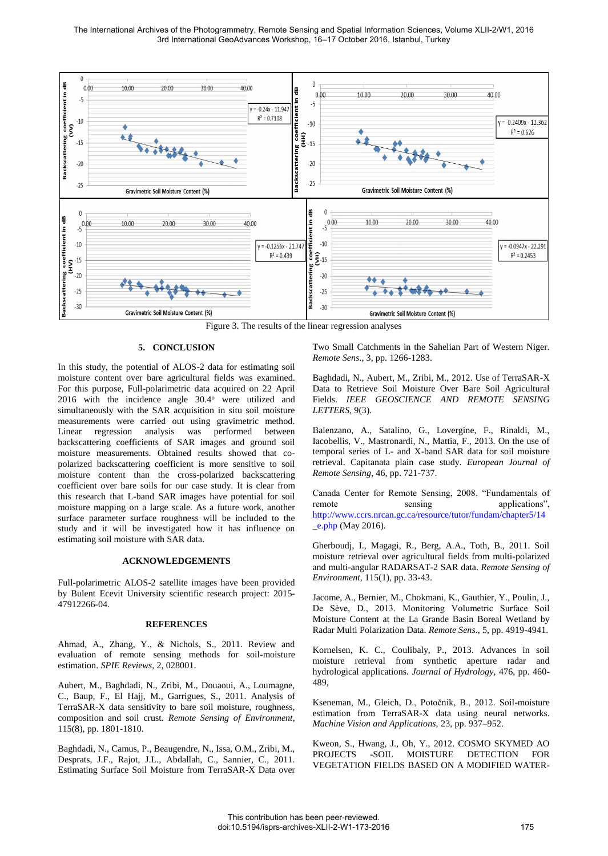

Figure 3. The results of the linear regression analyses

### **5. CONCLUSION**

In this study, the potential of ALOS-2 data for estimating soil moisture content over bare agricultural fields was examined. For this purpose, Full-polarimetric data acquired on 22 April 2016 with the incidence angle 30.4° were utilized and simultaneously with the SAR acquisition in situ soil moisture measurements were carried out using gravimetric method. Linear regression analysis was performed between backscattering coefficients of SAR images and ground soil moisture measurements. Obtained results showed that copolarized backscattering coefficient is more sensitive to soil moisture content than the cross-polarized backscattering coefficient over bare soils for our case study. It is clear from this research that L-band SAR images have potential for soil moisture mapping on a large scale. As a future work, another surface parameter surface roughness will be included to the study and it will be investigated how it has influence on estimating soil moisture with SAR data.

### **ACKNOWLEDGEMENTS**

Full-polarimetric ALOS-2 satellite images have been provided by Bulent Ecevit University scientific research project: 2015- 47912266-04.

### **REFERENCES**

Ahmad, A., Zhang, Y., & Nichols, S., 2011. Review and evaluation of remote sensing methods for soil-moisture estimation. *SPIE Reviews*, 2, 028001.

Aubert, M., Baghdadi, N., Zribi, M., Douaoui, A., Loumagne, C., Baup, F., El Hajj, M., Garrigues, S., 2011. Analysis of TerraSAR-X data sensitivity to bare soil moisture, roughness, composition and soil crust. *Remote Sensing of Environment*, 115(8), pp. 1801-1810.

Baghdadi, N., Camus, P., Beaugendre, N., Issa, O.M., Zribi, M., Desprats, J.F., Rajot, J.L., Abdallah, C., Sannier, C., 2011. Estimating Surface Soil Moisture from TerraSAR-X Data over

Two Small Catchments in the Sahelian Part of Western Niger. *Remote Sens*., 3, pp. 1266-1283.

Baghdadi, N., Aubert, M., Zribi, M., 2012. Use of TerraSAR-X Data to Retrieve Soil Moisture Over Bare Soil Agricultural Fields. *IEEE GEOSCIENCE AND REMOTE SENSING LETTERS*, 9(3).

Balenzano, A., Satalino, G., Lovergine, F., Rinaldi, M., Iacobellis, V., Mastronardi, N., Mattia, F., 2013. On the use of temporal series of L- and X-band SAR data for soil moisture retrieval. Capitanata plain case study. *European Journal of Remote Sensing*, 46, pp. 721-737.

Canada Center for Remote Sensing, 2008. "Fundamentals of remote sensing applications", [http://www.ccrs.nrcan.gc.ca/resource/tutor/fundam/chapter5/14](http://www.ccrs.nrcan.gc.ca/resource/tutor/fundam/chapter5/14_e.php) [\\_e.php](http://www.ccrs.nrcan.gc.ca/resource/tutor/fundam/chapter5/14_e.php) (May 2016).

Gherboudj, I., Magagi, R., Berg, A.A., Toth, B., 2011. Soil moisture retrieval over agricultural fields from multi-polarized and multi-angular RADARSAT-2 SAR data. *Remote Sensing of Environment*, 115(1), pp. 33-43.

Jacome, A., Bernier, M., Chokmani, K., Gauthier, Y., Poulin, J., De Sève, D., 2013. Monitoring Volumetric Surface Soil Moisture Content at the La Grande Basin Boreal Wetland by Radar Multi Polarization Data. *Remote Sens*., 5, pp. 4919-4941.

Kornelsen, K. C., Coulibaly, P., 2013. Advances in soil moisture retrieval from synthetic aperture radar and hydrological applications. *Journal of Hydrology*, 476, pp. 460- 489,

Kseneman, M., Gleich, D., Potočnik, B., 2012. Soil-moisture estimation from TerraSAR-X data using neural networks. *Machine Vision and Applications,* 23, pp. 937–952.

Kweon, S., Hwang, J., Oh, Y., 2012. COSMO SKYMED AO PROJECTS -SOIL MOISTURE DETECTION FOR VEGETATION FIELDS BASED ON A MODIFIED WATER-